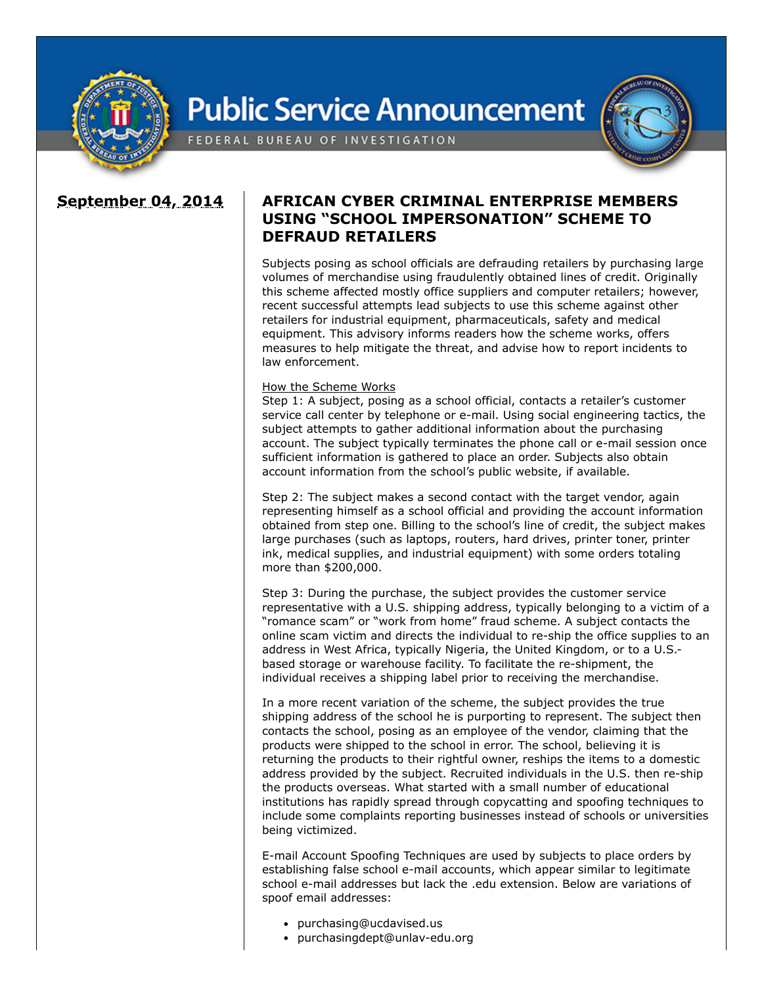

## **Public Service Announcement**



FEDERAL BUREAU OF INVESTIGATION

## **September 04, 2014 AFRICAN CYBER CRIMINAL ENTERPRISE MEMBERS USING "SCHOOL IMPERSONATION" SCHEME TO DEFRAUD RETAILERS**

Subjects posing as school officials are defrauding retailers by purchasing large volumes of merchandise using fraudulently obtained lines of credit. Originally this scheme affected mostly office suppliers and computer retailers; however, recent successful attempts lead subjects to use this scheme against other retailers for industrial equipment, pharmaceuticals, safety and medical equipment. This advisory informs readers how the scheme works, offers measures to help mitigate the threat, and advise how to report incidents to law enforcement.

## How the Scheme Works

Step 1: A subject, posing as a school official, contacts a retailer's customer service call center by telephone or e-mail. Using social engineering tactics, the subject attempts to gather additional information about the purchasing account. The subject typically terminates the phone call or e-mail session once sufficient information is gathered to place an order. Subjects also obtain account information from the school's public website, if available.

Step 2: The subject makes a second contact with the target vendor, again representing himself as a school official and providing the account information obtained from step one. Billing to the school's line of credit, the subject makes large purchases (such as laptops, routers, hard drives, printer toner, printer ink, medical supplies, and industrial equipment) with some orders totaling more than \$200,000.

Step 3: During the purchase, the subject provides the customer service representative with a U.S. shipping address, typically belonging to a victim of a "romance scam" or "work from home" fraud scheme. A subject contacts the online scam victim and directs the individual to re-ship the office supplies to an address in West Africa, typically Nigeria, the United Kingdom, or to a U.S. based storage or warehouse facility. To facilitate the re-shipment, the individual receives a shipping label prior to receiving the merchandise.

In a more recent variation of the scheme, the subject provides the true shipping address of the school he is purporting to represent. The subject then contacts the school, posing as an employee of the vendor, claiming that the products were shipped to the school in error. The school, believing it is returning the products to their rightful owner, reships the items to a domestic address provided by the subject. Recruited individuals in the U.S. then re-ship the products overseas. What started with a small number of educational institutions has rapidly spread through copycatting and spoofing techniques to include some complaints reporting businesses instead of schools or universities being victimized.

E-mail Account Spoofing Techniques are used by subjects to place orders by establishing false school e-mail accounts, which appear similar to legitimate school e-mail addresses but lack the .edu extension. Below are variations of spoof email addresses:

- purchasing@ucdavised.us
- purchasingdept@unlav-edu.org